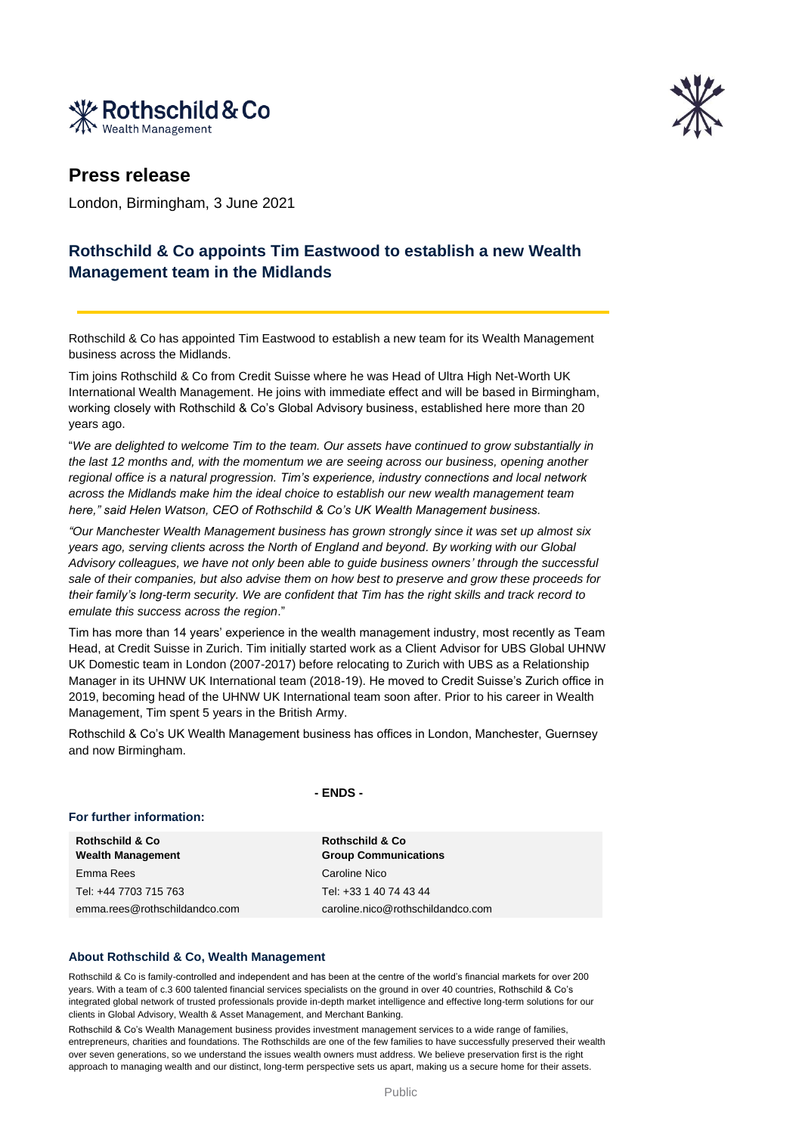



## **Press release**

London, Birmingham, 3 June 2021

## **Rothschild & Co appoints Tim Eastwood to establish a new Wealth Management team in the Midlands**

Rothschild & Co has appointed Tim Eastwood to establish a new team for its Wealth Management business across the Midlands.

Tim joins Rothschild & Co from Credit Suisse where he was Head of Ultra High Net-Worth UK International Wealth Management. He joins with immediate effect and will be based in Birmingham, working closely with Rothschild & Co's Global Advisory business, established here more than 20 years ago.

"*We are delighted to welcome Tim to the team. Our assets have continued to grow substantially in the last 12 months and, with the momentum we are seeing across our business, opening another regional office is a natural progression. Tim's experience, industry connections and local network across the Midlands make him the ideal choice to establish our new wealth management team here," said Helen Watson, CEO of Rothschild & Co's UK Wealth Management business.*

*"Our Manchester Wealth Management business has grown strongly since it was set up almost six years ago, serving clients across the North of England and beyond. By working with our Global Advisory colleagues, we have not only been able to guide business owners' through the successful sale of their companies, but also advise them on how best to preserve and grow these proceeds for their family's long-term security. We are confident that Tim has the right skills and track record to emulate this success across the region*."

Tim has more than 14 years' experience in the wealth management industry, most recently as Team Head, at Credit Suisse in Zurich. Tim initially started work as a Client Advisor for UBS Global UHNW UK Domestic team in London (2007-2017) before relocating to Zurich with UBS as a Relationship Manager in its UHNW UK International team (2018-19). He moved to Credit Suisse's Zurich office in 2019, becoming head of the UHNW UK International team soon after. Prior to his career in Wealth Management, Tim spent 5 years in the British Army.

Rothschild & Co's UK Wealth Management business has offices in London, Manchester, Guernsey and now Birmingham.

**- ENDS -**

## **For further information:**

**Rothschild & Co Wealth Management** Emma Rees Caroline Nico Tel: +44 7703 715 763 Tel: +33 1 40 74 43 44 emma.rees@rothschildandco.com caroline.nico@rothschildandco.com

**Rothschild & Co Group Communications**

## **About Rothschild & Co, Wealth Management**

Rothschild & Co is family-controlled and independent and has been at the centre of the world's financial markets for over 200 years. With a team of c.3 600 talented financial services specialists on the ground in over 40 countries, Rothschild & Co's integrated global network of trusted professionals provide in-depth market intelligence and effective long-term solutions for our clients in Global Advisory, Wealth & Asset Management, and Merchant Banking.

Rothschild & Co's Wealth Management business provides investment management services to a wide range of families, entrepreneurs, charities and foundations. The Rothschilds are one of the few families to have successfully preserved their wealth over seven generations, so we understand the issues wealth owners must address. We believe preservation first is the right approach to managing wealth and our distinct, long-term perspective sets us apart, making us a secure home for their assets.